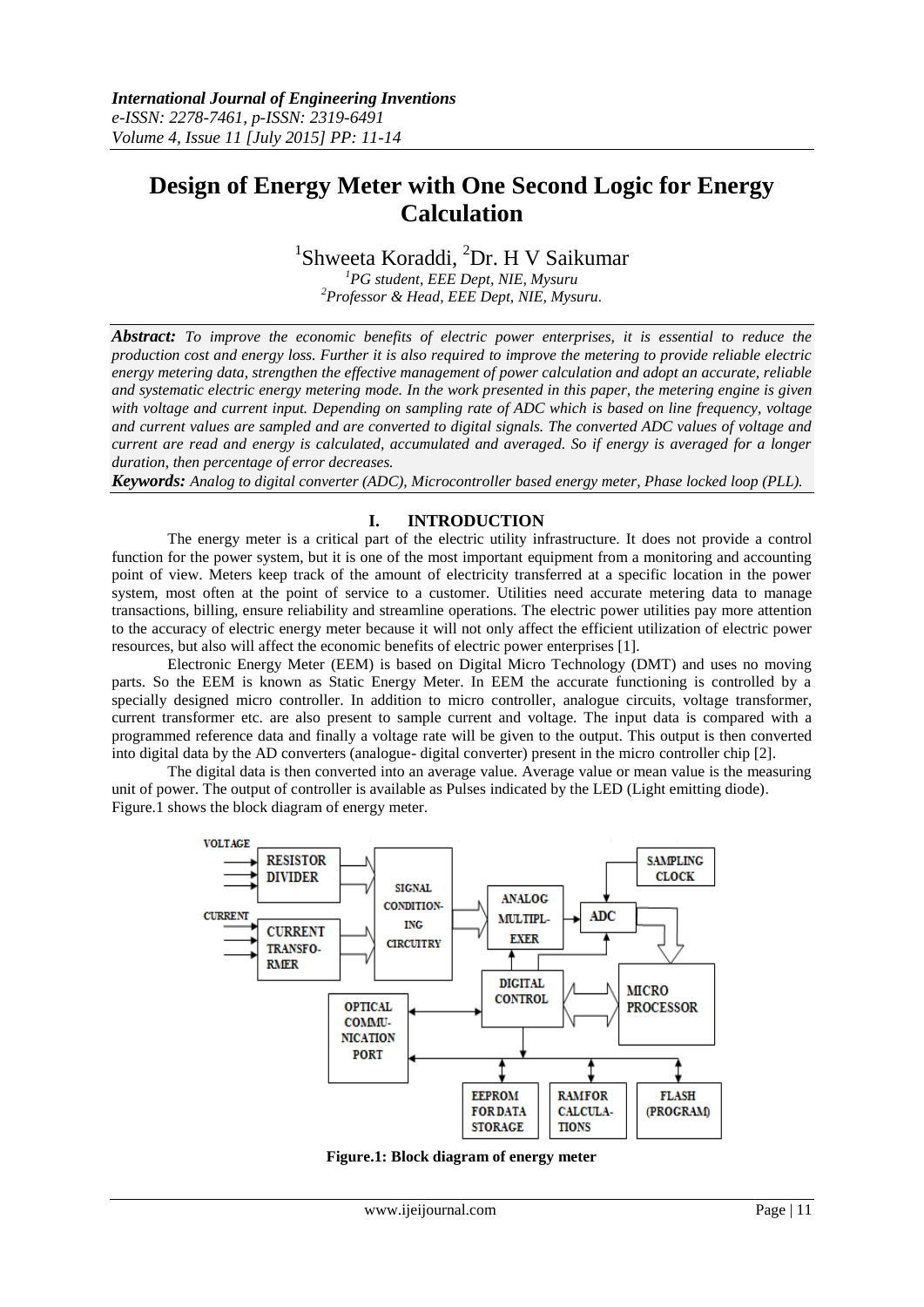# **Design of Energy Meter with One Second Logic for Energy Calculation**

## <sup>1</sup>Shweeta Koraddi, <sup>2</sup>Dr. H V Saikumar

*<sup>1</sup>PG student, EEE Dept, NIE, Mysuru <sup>2</sup>Professor & Head, EEE Dept, NIE, Mysuru.*

*Abstract: To improve the economic benefits of electric power enterprises, it is essential to reduce the production cost and energy loss. Further it is also required to improve the metering to provide reliable electric energy metering data, strengthen the effective management of power calculation and adopt an accurate, reliable and systematic electric energy metering mode. In the work presented in this paper, the metering engine is given with voltage and current input. Depending on sampling rate of ADC which is based on line frequency, voltage and current values are sampled and are converted to digital signals. The converted ADC values of voltage and current are read and energy is calculated, accumulated and averaged. So if energy is averaged for a longer duration, then percentage of error decreases.*

*Keywords: Analog to digital converter (ADC), Microcontroller based energy meter, Phase locked loop (PLL).*

#### **I. INTRODUCTION**

The energy meter is a critical part of the electric utility infrastructure. It does not provide a control function for the power system, but it is one of the most important equipment from a monitoring and accounting point of view. Meters keep track of the amount of electricity transferred at a specific location in the power system, most often at the point of service to a customer. Utilities need accurate metering data to manage transactions, billing, ensure reliability and streamline operations. The electric power utilities pay more attention to the accuracy of electric energy meter because it will not only affect the efficient utilization of electric power resources, but also will affect the economic benefits of electric power enterprises [1].

Electronic Energy Meter (EEM) is based on Digital Micro Technology (DMT) and uses no moving parts. So the EEM is known as Static Energy Meter. In EEM the accurate functioning is controlled by a specially designed micro controller. In addition to micro controller, analogue circuits, voltage transformer, current transformer etc. are also present to sample current and voltage. The input data is compared with a programmed reference data and finally a voltage rate will be given to the output. This output is then converted into digital data by the AD converters (analogue- digital converter) present in the micro controller chip [2].

The digital data is then converted into an average value. Average value or mean value is the measuring unit of power. The output of controller is available as Pulses indicated by the LED (Light emitting diode). Figure.1 shows the block diagram of energy meter.



**Figure.1: Block diagram of energy meter**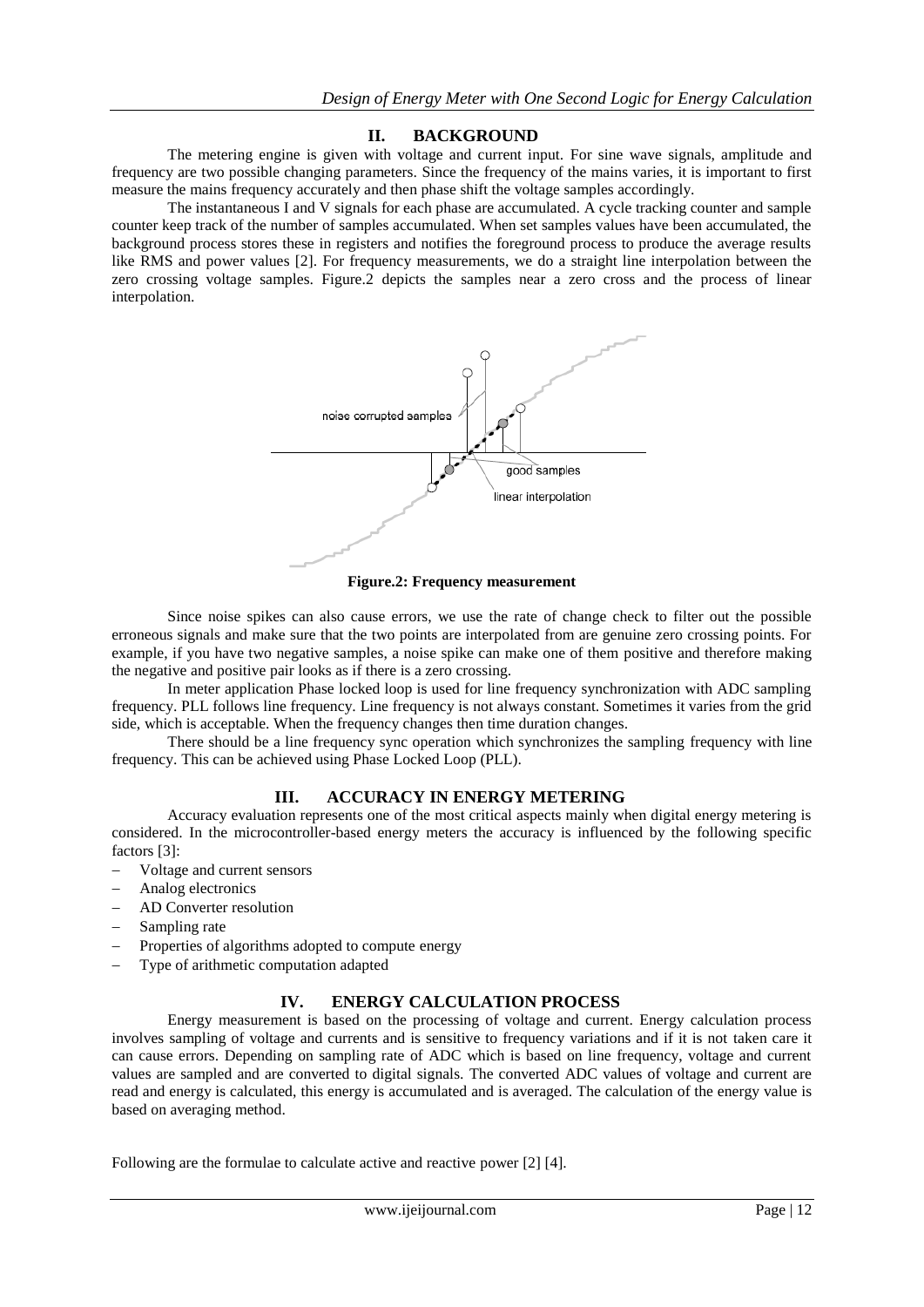#### **II. BACKGROUND**

The metering engine is given with voltage and current input. For sine wave signals, amplitude and frequency are two possible changing parameters. Since the frequency of the mains varies, it is important to first measure the mains frequency accurately and then phase shift the voltage samples accordingly.

The instantaneous I and V signals for each phase are accumulated. A cycle tracking counter and sample counter keep track of the number of samples accumulated. When set samples values have been accumulated, the background process stores these in registers and notifies the foreground process to produce the average results like RMS and power values [2]. For frequency measurements, we do a straight line interpolation between the zero crossing voltage samples. Figure.2 depicts the samples near a zero cross and the process of linear interpolation.



**Figure.2: Frequency measurement**

Since noise spikes can also cause errors, we use the rate of change check to filter out the possible erroneous signals and make sure that the two points are interpolated from are genuine zero crossing points. For example, if you have two negative samples, a noise spike can make one of them positive and therefore making the negative and positive pair looks as if there is a zero crossing.

In meter application Phase locked loop is used for line frequency synchronization with ADC sampling frequency. PLL follows line frequency. Line frequency is not always constant. Sometimes it varies from the grid side, which is acceptable. When the frequency changes then time duration changes.

There should be a line frequency sync operation which synchronizes the sampling frequency with line frequency. This can be achieved using Phase Locked Loop (PLL).

#### **III. ACCURACY IN ENERGY METERING**

Accuracy evaluation represents one of the most critical aspects mainly when digital energy metering is considered. In the microcontroller-based energy meters the accuracy is influenced by the following specific factors [3]:

- Voltage and current sensors
- Analog electronics
- AD Converter resolution
- Sampling rate
- Properties of algorithms adopted to compute energy
- Type of arithmetic computation adapted

#### **IV. ENERGY CALCULATION PROCESS**

Energy measurement is based on the processing of voltage and current. Energy calculation process involves sampling of voltage and currents and is sensitive to frequency variations and if it is not taken care it can cause errors. Depending on sampling rate of ADC which is based on line frequency, voltage and current values are sampled and are converted to digital signals. The converted ADC values of voltage and current are read and energy is calculated, this energy is accumulated and is averaged. The calculation of the energy value is based on averaging method.

Following are the formulae to calculate active and reactive power [2] [4].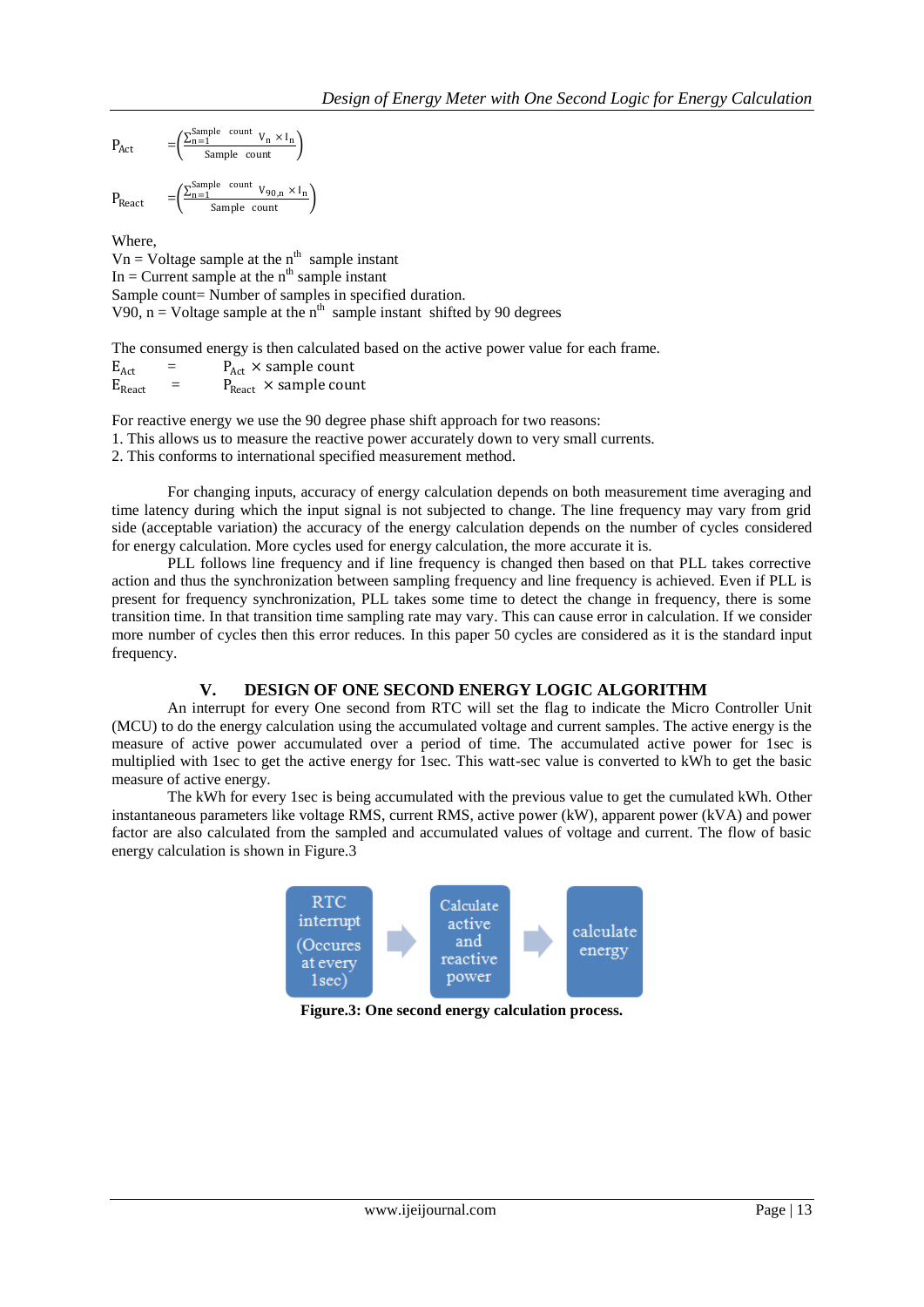$$
P_{Act} \qquad \quad \ = \left( \frac{\sum_{n=1}^{Sample~count}~v_n \times I_n}{Sample~count} \right)
$$

 $P_{\text{React}}$  $\frac{\sum_{n=1}^{Sample} count V_{90,n} \times I_n}{Sample}$ 

Where,

 $Vn = Voltage sample at the n<sup>th</sup> sample instant$ In = Current sample at the  $n<sup>th</sup>$  sample instant Sample count= Number of samples in specified duration. V90,  $n =$  Voltage sample at the n<sup>th</sup> sample instant shifted by 90 degrees

The consumed energy is then calculated based on the active power value for each frame.

 $E_{\text{Act}}$  =  $P_{\text{Act}} \times \text{sample count}$ <br>  $E_{\text{React}}$  =  $P_{\text{React}} \times \text{sample count}$  $=$   $P_{\text{React}} \times$  sample count

For reactive energy we use the 90 degree phase shift approach for two reasons:

1. This allows us to measure the reactive power accurately down to very small currents.

2. This conforms to international specified measurement method.

For changing inputs, accuracy of energy calculation depends on both measurement time averaging and time latency during which the input signal is not subjected to change. The line frequency may vary from grid side (acceptable variation) the accuracy of the energy calculation depends on the number of cycles considered for energy calculation. More cycles used for energy calculation, the more accurate it is.

PLL follows line frequency and if line frequency is changed then based on that PLL takes corrective action and thus the synchronization between sampling frequency and line frequency is achieved. Even if PLL is present for frequency synchronization, PLL takes some time to detect the change in frequency, there is some transition time. In that transition time sampling rate may vary. This can cause error in calculation. If we consider more number of cycles then this error reduces. In this paper 50 cycles are considered as it is the standard input frequency.

#### **V. DESIGN OF ONE SECOND ENERGY LOGIC ALGORITHM**

An interrupt for every One second from RTC will set the flag to indicate the Micro Controller Unit (MCU) to do the energy calculation using the accumulated voltage and current samples. The active energy is the measure of active power accumulated over a period of time. The accumulated active power for 1sec is multiplied with 1sec to get the active energy for 1sec. This watt-sec value is converted to kWh to get the basic measure of active energy.

The kWh for every 1sec is being accumulated with the previous value to get the cumulated kWh. Other instantaneous parameters like voltage RMS, current RMS, active power (kW), apparent power (kVA) and power factor are also calculated from the sampled and accumulated values of voltage and current. The flow of basic energy calculation is shown in Figure.3



**Figure.3: One second energy calculation process.**